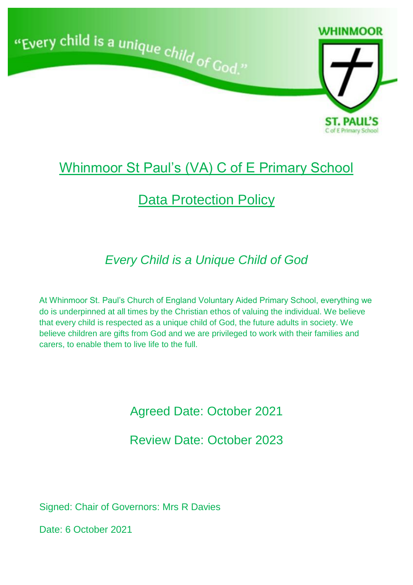

# Whinmoor St Paul's (VA) C of E Primary School

# **Data Protection Policy**

# *Every Child is a Unique Child of God*

At Whinmoor St. Paul's Church of England Voluntary Aided Primary School, everything we do is underpinned at all times by the Christian ethos of valuing the individual. We believe that every child is respected as a unique child of God, the future adults in society. We believe children are gifts from God and we are privileged to work with their families and carers, to enable them to live life to the full.

Agreed Date: October 2021

Review Date: October 2023

Signed: Chair of Governors: Mrs R Davies

Date: 6 October 2021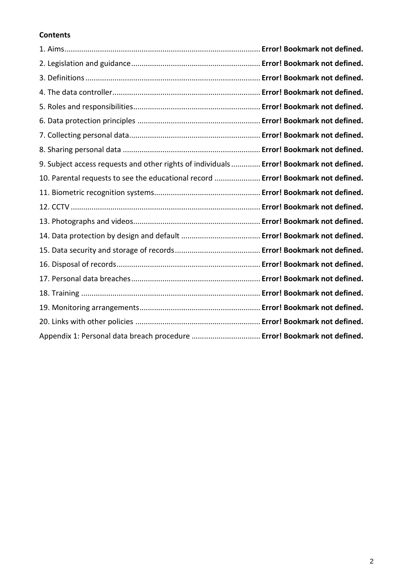### **Contents**

| 9. Subject access requests and other rights of individuals  Error! Bookmark not defined. |  |
|------------------------------------------------------------------------------------------|--|
| 10. Parental requests to see the educational record  Error! Bookmark not defined.        |  |
|                                                                                          |  |
|                                                                                          |  |
|                                                                                          |  |
|                                                                                          |  |
|                                                                                          |  |
|                                                                                          |  |
|                                                                                          |  |
|                                                                                          |  |
|                                                                                          |  |
|                                                                                          |  |
| Appendix 1: Personal data breach procedure  Error! Bookmark not defined.                 |  |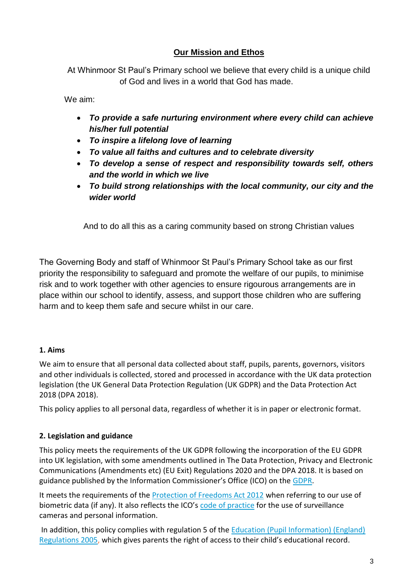### **Our Mission and Ethos**

At Whinmoor St Paul's Primary school we believe that every child is a unique child of God and lives in a world that God has made.

We aim:

- *To provide a safe nurturing environment where every child can achieve his/her full potential*
- *To inspire a lifelong love of learning*
- *To value all faiths and cultures and to celebrate diversity*
- *To develop a sense of respect and responsibility towards self, others and the world in which we live*
- *To build strong relationships with the local community, our city and the wider world*

And to do all this as a caring community based on strong Christian values

The Governing Body and staff of Whinmoor St Paul's Primary School take as our first priority the responsibility to safeguard and promote the welfare of our pupils, to minimise risk and to work together with other agencies to ensure rigourous arrangements are in place within our school to identify, assess, and support those children who are suffering harm and to keep them safe and secure whilst in our care.

#### **1. Aims**

We aim to ensure that all personal data collected about staff, pupils, parents, governors, visitors and other individuals is collected, stored and processed in accordance with the UK data protection legislation (the UK General Data Protection Regulation (UK GDPR) and the Data Protection Act 2018 (DPA 2018).

This policy applies to all personal data, regardless of whether it is in paper or electronic format.

#### **2. Legislation and guidance**

This policy meets the requirements of the UK GDPR following the incorporation of the EU GDPR into UK legislation, with some amendments outlined in The Data Protection, Privacy and Electronic Communications (Amendments etc) (EU Exit) Regulations 2020 and the DPA 2018. It is based on guidance published by the Information Commissioner's Office (ICO) on the [GDPR.](https://ico.org.uk/for-organisations/guide-to-the-general-data-protection-regulation-gdpr/)

It meets the requirements of the [Protection of Freedoms Act 2012](https://www.legislation.gov.uk/ukpga/2012/9/part/1/chapter/2) when referring to our use of biometric data (if any). It also reflects the ICO's [code of practice](https://ico.org.uk/media/for-organisations/documents/1542/cctv-code-of-practice.pdf) for the use of surveillance cameras and personal information.

In addition, this policy complies with regulation 5 of the Education (Pupil Information) (England) Regulations 2005, which gives parents the right of access to their child's educational record.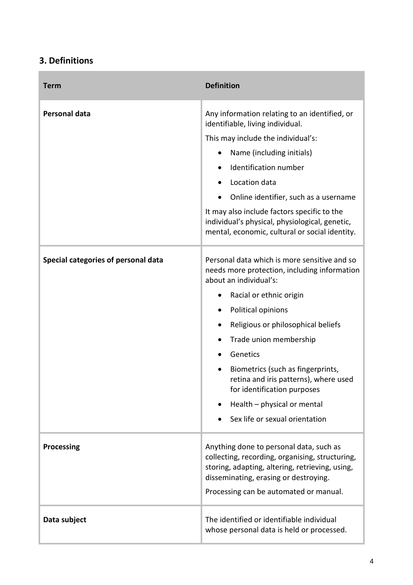# **3. Definitions**

 $\sim$ 

| <b>Term</b>                         | <b>Definition</b>                                                                                                                                                                                                                |
|-------------------------------------|----------------------------------------------------------------------------------------------------------------------------------------------------------------------------------------------------------------------------------|
| <b>Personal data</b>                | Any information relating to an identified, or<br>identifiable, living individual.                                                                                                                                                |
|                                     | This may include the individual's:                                                                                                                                                                                               |
|                                     | Name (including initials)                                                                                                                                                                                                        |
|                                     | Identification number                                                                                                                                                                                                            |
|                                     | Location data                                                                                                                                                                                                                    |
|                                     | Online identifier, such as a username                                                                                                                                                                                            |
|                                     | It may also include factors specific to the<br>individual's physical, physiological, genetic,<br>mental, economic, cultural or social identity.                                                                                  |
| Special categories of personal data | Personal data which is more sensitive and so<br>needs more protection, including information<br>about an individual's:                                                                                                           |
|                                     | Racial or ethnic origin                                                                                                                                                                                                          |
|                                     | Political opinions<br>$\bullet$                                                                                                                                                                                                  |
|                                     | Religious or philosophical beliefs                                                                                                                                                                                               |
|                                     | Trade union membership                                                                                                                                                                                                           |
|                                     | Genetics                                                                                                                                                                                                                         |
|                                     | Biometrics (such as fingerprints,<br>$\bullet$<br>retina and iris patterns), where used<br>for identification purposes                                                                                                           |
|                                     | Health - physical or mental                                                                                                                                                                                                      |
|                                     | Sex life or sexual orientation                                                                                                                                                                                                   |
| <b>Processing</b>                   | Anything done to personal data, such as<br>collecting, recording, organising, structuring,<br>storing, adapting, altering, retrieving, using,<br>disseminating, erasing or destroying.<br>Processing can be automated or manual. |
| Data subject                        | The identified or identifiable individual<br>whose personal data is held or processed.                                                                                                                                           |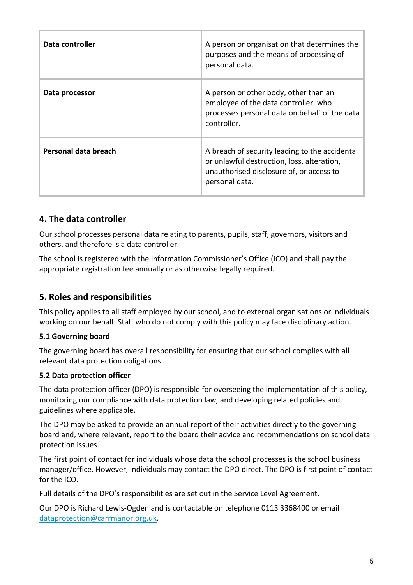| Data controller      | A person or organisation that determines the<br>purposes and the means of processing of<br>personal data.                                                  |
|----------------------|------------------------------------------------------------------------------------------------------------------------------------------------------------|
| Data processor       | A person or other body, other than an<br>employee of the data controller, who<br>processes personal data on behalf of the data<br>controller.              |
| Personal data breach | A breach of security leading to the accidental<br>or unlawful destruction, loss, alteration,<br>unauthorised disclosure of, or access to<br>personal data. |

## **4. The data controller**

Our school processes personal data relating to parents, pupils, staff, governors, visitors and others, and therefore is a data controller.

The school is registered with the Information Commissioner's Office (ICO) and shall pay the appropriate registration fee annually or as otherwise legally required.

## **5. Roles and responsibilities**

This policy applies to all staff employed by our school, and to external organisations or individuals working on our behalf. Staff who do not comply with this policy may face disciplinary action.

#### **5.1 Governing board**

The governing board has overall responsibility for ensuring that our school complies with all relevant data protection obligations.

#### **5.2 Data protection officer**

The data protection officer (DPO) is responsible for overseeing the implementation of this policy, monitoring our compliance with data protection law, and developing related policies and guidelines where applicable.

The DPO may be asked to provide an annual report of their activities directly to the governing board and, where relevant, report to the board their advice and recommendations on school data protection issues.

The first point of contact for individuals whose data the school processes is the school business manager/office. However, individuals may contact the DPO direct. The DPO is first point of contact for the ICO.

Full details of the DPO's responsibilities are set out in the Service Level Agreement.

Our DPO is Richard Lewis-Ogden and is contactable on telephone 0113 3368400 or email [dataprotection@carrmanor.org.uk.](mailto:dataprotection@carrmanor.org.uk)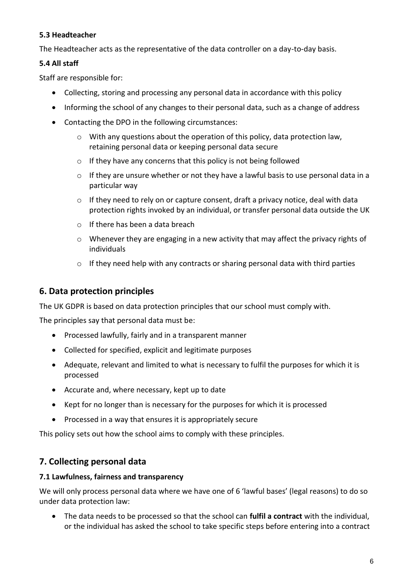#### **5.3 Headteacher**

The Headteacher acts as the representative of the data controller on a day-to-day basis.

#### **5.4 All staff**

Staff are responsible for:

- Collecting, storing and processing any personal data in accordance with this policy
- Informing the school of any changes to their personal data, such as a change of address
- Contacting the DPO in the following circumstances:
	- $\circ$  With any questions about the operation of this policy, data protection law, retaining personal data or keeping personal data secure
	- $\circ$  If they have any concerns that this policy is not being followed
	- $\circ$  If they are unsure whether or not they have a lawful basis to use personal data in a particular way
	- $\circ$  If they need to rely on or capture consent, draft a privacy notice, deal with data protection rights invoked by an individual, or transfer personal data outside the UK
	- o If there has been a data breach
	- o Whenever they are engaging in a new activity that may affect the privacy rights of individuals
	- $\circ$  If they need help with any contracts or sharing personal data with third parties

## **6. Data protection principles**

The UK GDPR is based on data protection principles that our school must comply with.

The principles say that personal data must be:

- Processed lawfully, fairly and in a transparent manner
- Collected for specified, explicit and legitimate purposes
- Adequate, relevant and limited to what is necessary to fulfil the purposes for which it is processed
- Accurate and, where necessary, kept up to date
- Kept for no longer than is necessary for the purposes for which it is processed
- Processed in a way that ensures it is appropriately secure

This policy sets out how the school aims to comply with these principles.

## **7. Collecting personal data**

#### **7.1 Lawfulness, fairness and transparency**

We will only process personal data where we have one of 6 'lawful bases' (legal reasons) to do so under data protection law:

 The data needs to be processed so that the school can **fulfil a contract** with the individual, or the individual has asked the school to take specific steps before entering into a contract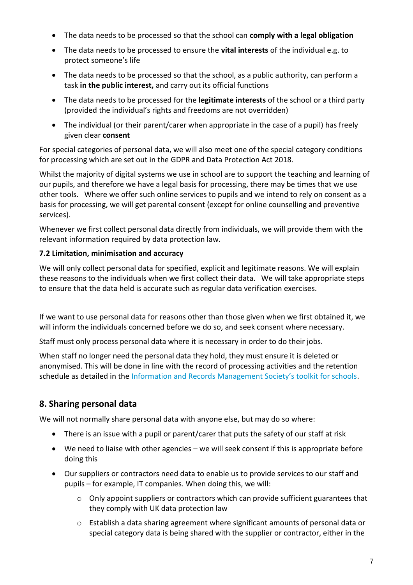- The data needs to be processed so that the school can **comply with a legal obligation**
- The data needs to be processed to ensure the **vital interests** of the individual e.g. to protect someone's life
- The data needs to be processed so that the school, as a public authority, can perform a task **in the public interest,** and carry out its official functions
- The data needs to be processed for the **legitimate interests** of the school or a third party (provided the individual's rights and freedoms are not overridden)
- The individual (or their parent/carer when appropriate in the case of a pupil) has freely given clear **consent**

For special categories of personal data, we will also meet one of the special category conditions for processing which are set out in the GDPR and Data Protection Act 2018.

Whilst the majority of digital systems we use in school are to support the teaching and learning of our pupils, and therefore we have a legal basis for processing, there may be times that we use other tools. Where we offer such online services to pupils and we intend to rely on consent as a basis for processing, we will get parental consent (except for online counselling and preventive services).

Whenever we first collect personal data directly from individuals, we will provide them with the relevant information required by data protection law.

### **7.2 Limitation, minimisation and accuracy**

We will only collect personal data for specified, explicit and legitimate reasons. We will explain these reasons to the individuals when we first collect their data. We will take appropriate steps to ensure that the data held is accurate such as regular data verification exercises.

If we want to use personal data for reasons other than those given when we first obtained it, we will inform the individuals concerned before we do so, and seek consent where necessary.

Staff must only process personal data where it is necessary in order to do their jobs.

When staff no longer need the personal data they hold, they must ensure it is deleted or anonymised. This will be done in line with the record of processing activities and the retention schedule as detailed in the [Information and Records Management Society's toolkit for schools](http://irms.org.uk/?page=schoolstoolkit&terms=%22toolkit+and+schools%22).

# **8. Sharing personal data**

We will not normally share personal data with anyone else, but may do so where:

- There is an issue with a pupil or parent/carer that puts the safety of our staff at risk
- We need to liaise with other agencies we will seek consent if this is appropriate before doing this
- Our suppliers or contractors need data to enable us to provide services to our staff and pupils – for example, IT companies. When doing this, we will:
	- $\circ$  Only appoint suppliers or contractors which can provide sufficient guarantees that they comply with UK data protection law
	- o Establish a data sharing agreement where significant amounts of personal data or special category data is being shared with the supplier or contractor, either in the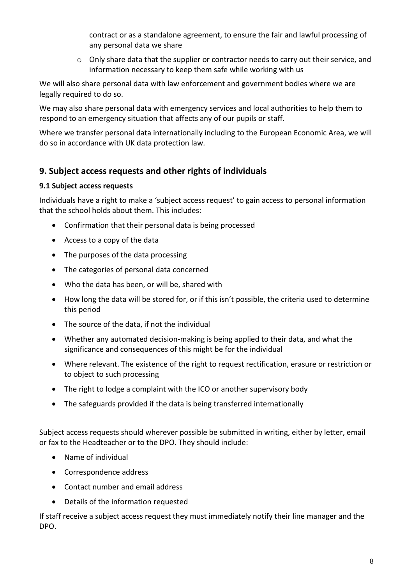contract or as a standalone agreement, to ensure the fair and lawful processing of any personal data we share

o Only share data that the supplier or contractor needs to carry out their service, and information necessary to keep them safe while working with us

We will also share personal data with law enforcement and government bodies where we are legally required to do so.

We may also share personal data with emergency services and local authorities to help them to respond to an emergency situation that affects any of our pupils or staff.

Where we transfer personal data internationally including to the European Economic Area, we will do so in accordance with UK data protection law.

## **9. Subject access requests and other rights of individuals**

#### **9.1 Subject access requests**

Individuals have a right to make a 'subject access request' to gain access to personal information that the school holds about them. This includes:

- Confirmation that their personal data is being processed
- Access to a copy of the data
- The purposes of the data processing
- The categories of personal data concerned
- Who the data has been, or will be, shared with
- How long the data will be stored for, or if this isn't possible, the criteria used to determine this period
- The source of the data, if not the individual
- Whether any automated decision-making is being applied to their data, and what the significance and consequences of this might be for the individual
- Where relevant. The existence of the right to request rectification, erasure or restriction or to object to such processing
- The right to lodge a complaint with the ICO or another supervisory body
- The safeguards provided if the data is being transferred internationally

Subject access requests should wherever possible be submitted in writing, either by letter, email or fax to the Headteacher or to the DPO. They should include:

- Name of individual
- Correspondence address
- Contact number and email address
- Details of the information requested

If staff receive a subject access request they must immediately notify their line manager and the DPO.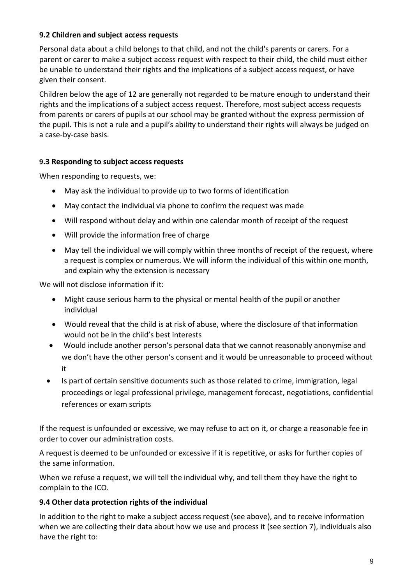#### **9.2 Children and subject access requests**

Personal data about a child belongs to that child, and not the child's parents or carers. For a parent or carer to make a subject access request with respect to their child, the child must either be unable to understand their rights and the implications of a subject access request, or have given their consent.

Children below the age of 12 are generally not regarded to be mature enough to understand their rights and the implications of a subject access request. Therefore, most subject access requests from parents or carers of pupils at our school may be granted without the express permission of the pupil. This is not a rule and a pupil's ability to understand their rights will always be judged on a case-by-case basis.

#### **9.3 Responding to subject access requests**

When responding to requests, we:

- May ask the individual to provide up to two forms of identification
- May contact the individual via phone to confirm the request was made
- Will respond without delay and within one calendar month of receipt of the request
- Will provide the information free of charge
- May tell the individual we will comply within three months of receipt of the request, where a request is complex or numerous. We will inform the individual of this within one month, and explain why the extension is necessary

We will not disclose information if it:

- Might cause serious harm to the physical or mental health of the pupil or another individual
- Would reveal that the child is at risk of abuse, where the disclosure of that information would not be in the child's best interests
- Would include another person's personal data that we cannot reasonably anonymise and we don't have the other person's consent and it would be unreasonable to proceed without it
- Is part of certain sensitive documents such as those related to crime, immigration, legal proceedings or legal professional privilege, management forecast, negotiations, confidential references or exam scripts

If the request is unfounded or excessive, we may refuse to act on it, or charge a reasonable fee in order to cover our administration costs.

A request is deemed to be unfounded or excessive if it is repetitive, or asks for further copies of the same information.

When we refuse a request, we will tell the individual why, and tell them they have the right to complain to the ICO.

#### **9.4 Other data protection rights of the individual**

In addition to the right to make a subject access request (see above), and to receive information when we are collecting their data about how we use and process it (see section 7), individuals also have the right to: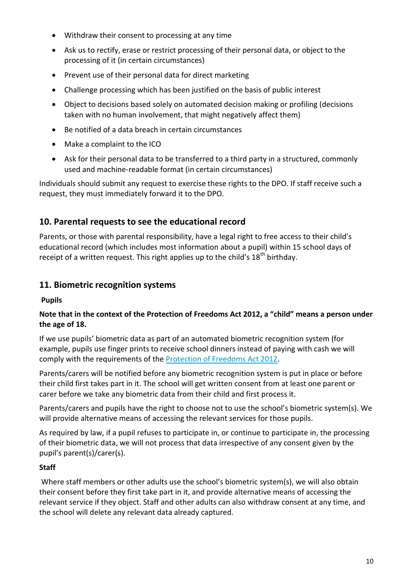- Withdraw their consent to processing at any time
- Ask us to rectify, erase or restrict processing of their personal data, or object to the processing of it (in certain circumstances)
- Prevent use of their personal data for direct marketing
- Challenge processing which has been justified on the basis of public interest
- Object to decisions based solely on automated decision making or profiling (decisions taken with no human involvement, that might negatively affect them)
- Be notified of a data breach in certain circumstances
- Make a complaint to the ICO
- Ask for their personal data to be transferred to a third party in a structured, commonly used and machine-readable format (in certain circumstances)

Individuals should submit any request to exercise these rights to the DPO. If staff receive such a request, they must immediately forward it to the DPO.

# **10. Parental requests to see the educational record**

Parents, or those with parental responsibility, have a legal right to free access to their child's educational record (which includes most information about a pupil) within 15 school days of receipt of a written request. This right applies up to the child's  $18<sup>th</sup>$  birthday.

## **11. Biometric recognition systems**

**Pupils**

#### **Note that in the context of the Protection of Freedoms Act 2012, a "child" means a person under the age of 18.**

If we use pupils' biometric data as part of an automated biometric recognition system (for example, pupils use finger prints to receive school dinners instead of paying with cash we will comply with the requirements of the **Protection of Freedoms Act 2012**.

Parents/carers will be notified before any biometric recognition system is put in place or before their child first takes part in it. The school will get written consent from at least one parent or carer before we take any biometric data from their child and first process it.

Parents/carers and pupils have the right to choose not to use the school's biometric system(s). We will provide alternative means of accessing the relevant services for those pupils.

As required by law, if a pupil refuses to participate in, or continue to participate in, the processing of their biometric data, we will not process that data irrespective of any consent given by the pupil's parent(s)/carer(s).

#### **Staff**

Where staff members or other adults use the school's biometric system(s), we will also obtain their consent before they first take part in it, and provide alternative means of accessing the relevant service if they object. Staff and other adults can also withdraw consent at any time, and the school will delete any relevant data already captured.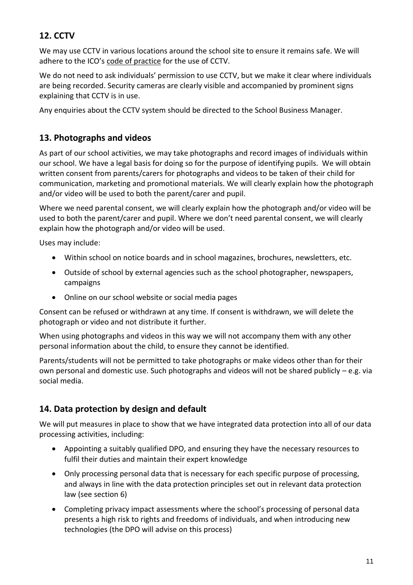# **12. CCTV**

We may use CCTV in various locations around the school site to ensure it remains safe. We will adhere to the ICO's [code of practice](https://ico.org.uk/media/for-organisations/documents/1542/cctv-code-of-practice.pdf) for the use of CCTV.

We do not need to ask individuals' permission to use CCTV, but we make it clear where individuals are being recorded. Security cameras are clearly visible and accompanied by prominent signs explaining that CCTV is in use.

Any enquiries about the CCTV system should be directed to the School Business Manager.

## **13. Photographs and videos**

As part of our school activities, we may take photographs and record images of individuals within our school. We have a legal basis for doing so for the purpose of identifying pupils. We will obtain written consent from parents/carers for photographs and videos to be taken of their child for communication, marketing and promotional materials. We will clearly explain how the photograph and/or video will be used to both the parent/carer and pupil.

Where we need parental consent, we will clearly explain how the photograph and/or video will be used to both the parent/carer and pupil. Where we don't need parental consent, we will clearly explain how the photograph and/or video will be used.

Uses may include:

- Within school on notice boards and in school magazines, brochures, newsletters, etc.
- Outside of school by external agencies such as the school photographer, newspapers, campaigns
- Online on our school website or social media pages

Consent can be refused or withdrawn at any time. If consent is withdrawn, we will delete the photograph or video and not distribute it further.

When using photographs and videos in this way we will not accompany them with any other personal information about the child, to ensure they cannot be identified.

Parents/students will not be permitted to take photographs or make videos other than for their own personal and domestic use. Such photographs and videos will not be shared publicly – e.g. via social media.

# **14. Data protection by design and default**

We will put measures in place to show that we have integrated data protection into all of our data processing activities, including:

- Appointing a suitably qualified DPO, and ensuring they have the necessary resources to fulfil their duties and maintain their expert knowledge
- Only processing personal data that is necessary for each specific purpose of processing, and always in line with the data protection principles set out in relevant data protection law (see section 6)
- Completing privacy impact assessments where the school's processing of personal data presents a high risk to rights and freedoms of individuals, and when introducing new technologies (the DPO will advise on this process)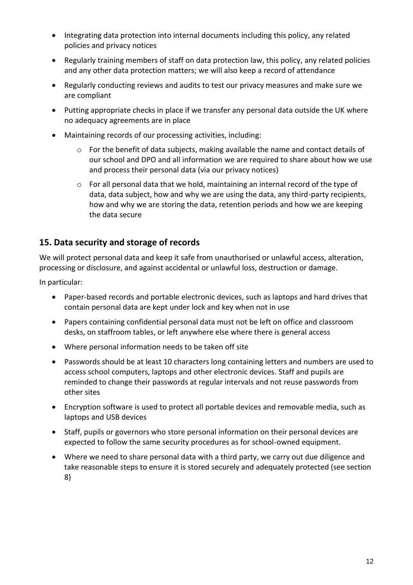- Integrating data protection into internal documents including this policy, any related policies and privacy notices
- Regularly training members of staff on data protection law, this policy, any related policies and any other data protection matters; we will also keep a record of attendance
- Regularly conducting reviews and audits to test our privacy measures and make sure we are compliant
- Putting appropriate checks in place if we transfer any personal data outside the UK where no adequacy agreements are in place
- Maintaining records of our processing activities, including:
	- $\circ$  For the benefit of data subjects, making available the name and contact details of our school and DPO and all information we are required to share about how we use and process their personal data (via our privacy notices)
	- $\circ$  For all personal data that we hold, maintaining an internal record of the type of data, data subject, how and why we are using the data, any third-party recipients, how and why we are storing the data, retention periods and how we are keeping the data secure

#### **15. Data security and storage of records**

We will protect personal data and keep it safe from unauthorised or unlawful access, alteration, processing or disclosure, and against accidental or unlawful loss, destruction or damage.

In particular:

- Paper-based records and portable electronic devices, such as laptops and hard drives that contain personal data are kept under lock and key when not in use
- Papers containing confidential personal data must not be left on office and classroom desks, on staffroom tables, or left anywhere else where there is general access
- Where personal information needs to be taken off site
- Passwords should be at least 10 characters long containing letters and numbers are used to access school computers, laptops and other electronic devices. Staff and pupils are reminded to change their passwords at regular intervals and not reuse passwords from other sites
- Encryption software is used to protect all portable devices and removable media, such as laptops and USB devices
- Staff, pupils or governors who store personal information on their personal devices are expected to follow the same security procedures as for school-owned equipment.
- Where we need to share personal data with a third party, we carry out due diligence and take reasonable steps to ensure it is stored securely and adequately protected (see section 8)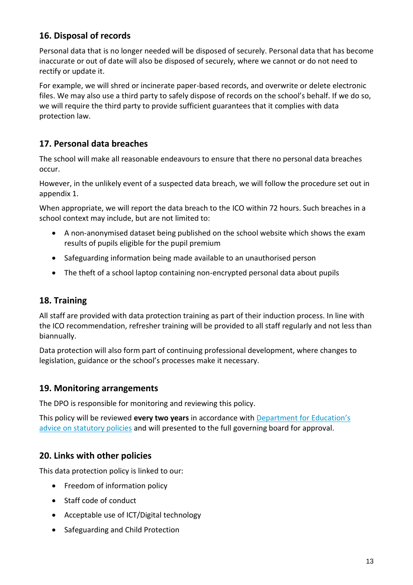# **16. Disposal of records**

Personal data that is no longer needed will be disposed of securely. Personal data that has become inaccurate or out of date will also be disposed of securely, where we cannot or do not need to rectify or update it.

For example, we will shred or incinerate paper-based records, and overwrite or delete electronic files. We may also use a third party to safely dispose of records on the school's behalf. If we do so, we will require the third party to provide sufficient guarantees that it complies with data protection law.

# **17. Personal data breaches**

The school will make all reasonable endeavours to ensure that there no personal data breaches occur.

However, in the unlikely event of a suspected data breach, we will follow the procedure set out in appendix 1.

When appropriate, we will report the data breach to the ICO within 72 hours. Such breaches in a school context may include, but are not limited to:

- A non-anonymised dataset being published on the school website which shows the exam results of pupils eligible for the pupil premium
- Safeguarding information being made available to an unauthorised person
- The theft of a school laptop containing non-encrypted personal data about pupils

# **18. Training**

All staff are provided with data protection training as part of their induction process. In line with the ICO recommendation, refresher training will be provided to all staff regularly and not less than biannually.

Data protection will also form part of continuing professional development, where changes to legislation, guidance or the school's processes make it necessary.

## **19. Monitoring arrangements**

The DPO is responsible for monitoring and reviewing this policy.

This policy will be reviewed **every two years** in accordance with Departm[ent for Education's](https://www.gov.uk/government/publications/statutory-policies-for-schools)  [advice on statutory policies](https://www.gov.uk/government/publications/statutory-policies-for-schools) and will presented to the full governing board for approval.

# **20. Links with other policies**

This data protection policy is linked to our:

- Freedom of information policy
- Staff code of conduct
- Acceptable use of ICT/Digital technology
- Safeguarding and Child Protection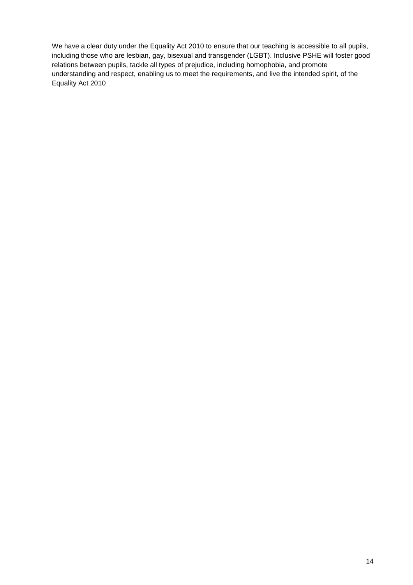We have a clear duty under the Equality Act 2010 to ensure that our teaching is accessible to all pupils, including those who are lesbian, gay, bisexual and transgender (LGBT). Inclusive PSHE will foster good relations between pupils, tackle all types of prejudice, including homophobia, and promote understanding and respect, enabling us to meet the requirements, and live the intended spirit, of the Equality Act 2010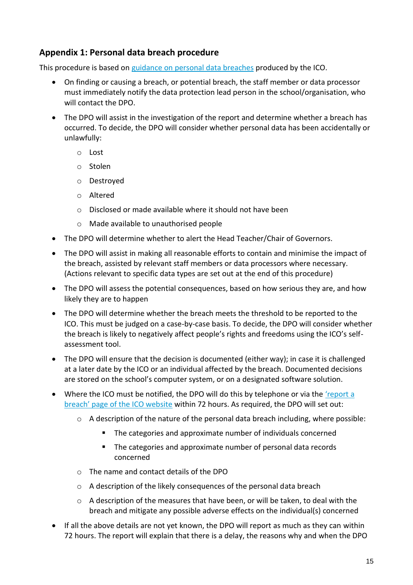## **Appendix 1: Personal data breach procedure**

This procedure is based on [guidance on personal data breaches](https://ico.org.uk/for-organisations/guide-to-the-general-data-protection-regulation-gdpr/personal-data-breaches/) produced by the ICO.

- On finding or causing a breach, or potential breach, the staff member or data processor must immediately notify the data protection lead person in the school/organisation, who will contact the DPO.
- The DPO will assist in the investigation of the report and determine whether a breach has occurred. To decide, the DPO will consider whether personal data has been accidentally or unlawfully:
	- o Lost
	- o Stolen
	- o Destroyed
	- o Altered
	- o Disclosed or made available where it should not have been
	- o Made available to unauthorised people
- The DPO will determine whether to alert the Head Teacher/Chair of Governors.
- The DPO will assist in making all reasonable efforts to contain and minimise the impact of the breach, assisted by relevant staff members or data processors where necessary. (Actions relevant to specific data types are set out at the end of this procedure)
- The DPO will assess the potential consequences, based on how serious they are, and how likely they are to happen
- The DPO will determine whether the breach meets the threshold to be reported to the ICO. This must be judged on a case-by-case basis. To decide, the DPO will consider whether the breach is likely to negatively affect people's rights and freedoms using the ICO's selfassessment tool.
- The DPO will ensure that the decision is documented (either way); in case it is challenged at a later date by the ICO or an individual affected by the breach. Documented decisions are stored on the school's computer system, or on a designated software solution.
- Where the ICO must be notified, the DPO will do this by telephone or via the ['report a](https://ico.org.uk/for-organisations/report-a-breach/)  [breach' page of the ICO website](https://ico.org.uk/for-organisations/report-a-breach/) within 72 hours. As required, the DPO will set out:
	- $\circ$  A description of the nature of the personal data breach including, where possible:
		- The categories and approximate number of individuals concerned
		- **The categories and approximate number of personal data records** concerned
	- o The name and contact details of the DPO
	- o A description of the likely consequences of the personal data breach
	- $\circ$  A description of the measures that have been, or will be taken, to deal with the breach and mitigate any possible adverse effects on the individual(s) concerned
- If all the above details are not yet known, the DPO will report as much as they can within 72 hours. The report will explain that there is a delay, the reasons why and when the DPO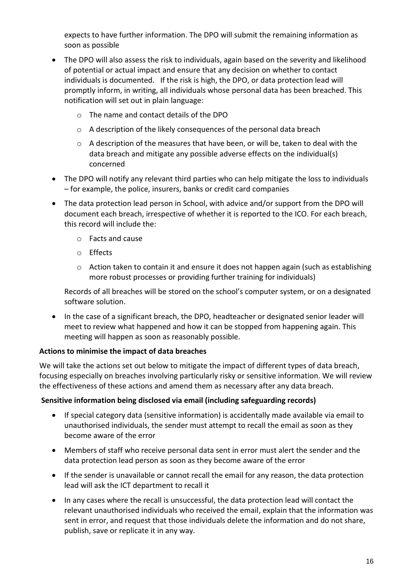expects to have further information. The DPO will submit the remaining information as soon as possible

- The DPO will also assess the risk to individuals, again based on the severity and likelihood of potential or actual impact and ensure that any decision on whether to contact individuals is documented. If the risk is high, the DPO, or data protection lead will promptly inform, in writing, all individuals whose personal data has been breached. This notification will set out in plain language:
	- o The name and contact details of the DPO
	- o A description of the likely consequences of the personal data breach
	- $\circ$  A description of the measures that have been, or will be, taken to deal with the data breach and mitigate any possible adverse effects on the individual(s) concerned
- The DPO will notify any relevant third parties who can help mitigate the loss to individuals – for example, the police, insurers, banks or credit card companies
- The data protection lead person in School, with advice and/or support from the DPO will document each breach, irrespective of whether it is reported to the ICO. For each breach, this record will include the:
	- o Facts and cause
	- o Effects
	- $\circ$  Action taken to contain it and ensure it does not happen again (such as establishing more robust processes or providing further training for individuals)

Records of all breaches will be stored on the school's computer system, or on a designated software solution.

• In the case of a significant breach, the DPO, headteacher or designated senior leader will meet to review what happened and how it can be stopped from happening again. This meeting will happen as soon as reasonably possible.

#### **Actions to minimise the impact of data breaches**

We will take the actions set out below to mitigate the impact of different types of data breach, focusing especially on breaches involving particularly risky or sensitive information. We will review the effectiveness of these actions and amend them as necessary after any data breach.

#### **Sensitive information being disclosed via email (including safeguarding records)**

- If special category data (sensitive information) is accidentally made available via email to unauthorised individuals, the sender must attempt to recall the email as soon as they become aware of the error
- Members of staff who receive personal data sent in error must alert the sender and the data protection lead person as soon as they become aware of the error
- If the sender is unavailable or cannot recall the email for any reason, the data protection lead will ask the ICT department to recall it
- In any cases where the recall is unsuccessful, the data protection lead will contact the relevant unauthorised individuals who received the email, explain that the information was sent in error, and request that those individuals delete the information and do not share, publish, save or replicate it in any way.